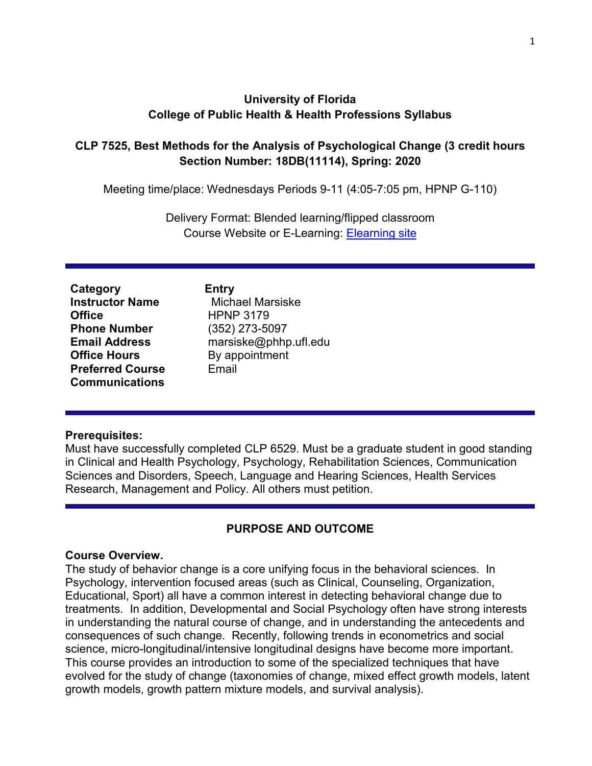# **University of Florida College of Public Health & Health Professions Syllabus**

# **CLP 7525, Best Methods for the Analysis of Psychological Change (3 credit hours Section Number: 18DB(11114), Spring: 2020**

Meeting time/place: Wednesdays Periods 9-11 (4:05-7:05 pm, HPNP G-110)

Delivery Format: Blended learning/flipped classroom Course Website or E-Learning: [Elearning site](http://lss.at.ufl.edu/)

**Category Entry Instructor Name** Michael Marsiske<br> **Office** HPNP 3179 **Phone Number** (352) 273-5097 **Office Hours** By appointment **Preferred Course Communications**

**Office** HPNP 3179 **Email Address** marsiske@phhp.ufl.edu Email

#### **Prerequisites:**

Must have successfully completed CLP 6529. Must be a graduate student in good standing in Clinical and Health Psychology, Psychology, Rehabilitation Sciences, Communication Sciences and Disorders, Speech, Language and Hearing Sciences, Health Services Research, Management and Policy. All others must petition.

# **PURPOSE AND OUTCOME**

#### **Course Overview.**

The study of behavior change is a core unifying focus in the behavioral sciences. In Psychology, intervention focused areas (such as Clinical, Counseling, Organization, Educational, Sport) all have a common interest in detecting behavioral change due to treatments. In addition, Developmental and Social Psychology often have strong interests in understanding the natural course of change, and in understanding the antecedents and consequences of such change. Recently, following trends in econometrics and social science, micro-longitudinal/intensive longitudinal designs have become more important. This course provides an introduction to some of the specialized techniques that have evolved for the study of change (taxonomies of change, mixed effect growth models, latent growth models, growth pattern mixture models, and survival analysis).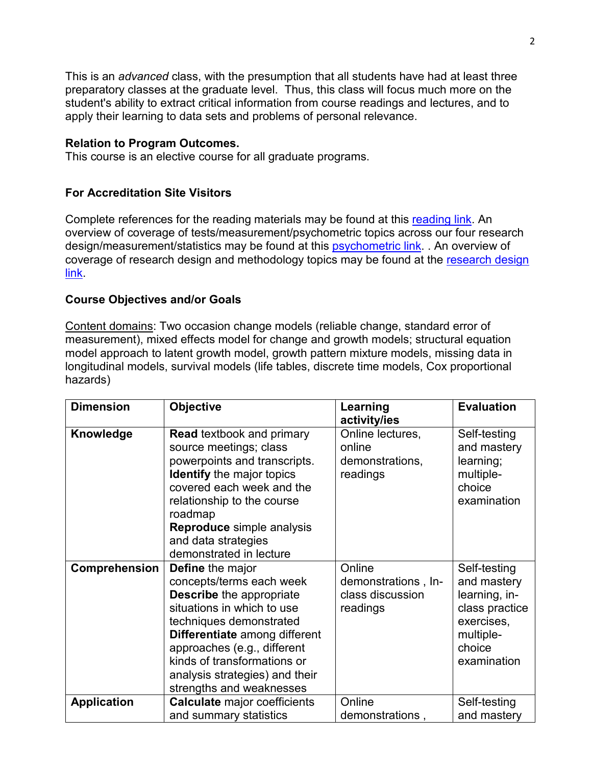This is an *advanced* class, with the presumption that all students have had at least three preparatory classes at the graduate level. Thus, this class will focus much more on the student's ability to extract critical information from course readings and lectures, and to apply their learning to data sets and problems of personal relevance.

#### **Relation to Program Outcomes.**

This course is an elective course for all graduate programs.

# **For Accreditation Site Visitors**

Complete references for the reading materials may be found at this [reading link.](http://phhp-marsiske.sites.medinfo.ufl.edu/for-students/classes/references-for-clp-6527652865297525-readings/) An overview of coverage of tests/measurement/psychometric topics across our four research design/measurement/statistics may be found at this **psychometric link.** . An overview of coverage of [research design](http://phhp-marsiske.sites.medinfo.ufl.edu/for-students/classes/research-design-and-methods-coverage-in-clp-courses/) and methodology topics may be found at the research design [link.](http://phhp-marsiske.sites.medinfo.ufl.edu/for-students/classes/research-design-and-methods-coverage-in-clp-courses/)

# **Course Objectives and/or Goals**

Content domains: Two occasion change models (reliable change, standard error of measurement), mixed effects model for change and growth models; structural equation model approach to latent growth model, growth pattern mixture models, missing data in longitudinal models, survival models (life tables, discrete time models, Cox proportional hazards)

| <b>Dimension</b>   | <b>Objective</b>                                                                                                                                                                                                                                                                                             | Learning<br>activity/ies                                      | <b>Evaluation</b>                                                                                                  |
|--------------------|--------------------------------------------------------------------------------------------------------------------------------------------------------------------------------------------------------------------------------------------------------------------------------------------------------------|---------------------------------------------------------------|--------------------------------------------------------------------------------------------------------------------|
| Knowledge          | <b>Read textbook and primary</b><br>source meetings; class<br>powerpoints and transcripts.<br><b>Identify</b> the major topics<br>covered each week and the<br>relationship to the course<br>roadmap<br>Reproduce simple analysis<br>and data strategies<br>demonstrated in lecture                          | Online lectures,<br>online<br>demonstrations,<br>readings     | Self-testing<br>and mastery<br>learning;<br>multiple-<br>choice<br>examination                                     |
| Comprehension      | <b>Define</b> the major<br>concepts/terms each week<br><b>Describe</b> the appropriate<br>situations in which to use<br>techniques demonstrated<br>Differentiate among different<br>approaches (e.g., different<br>kinds of transformations or<br>analysis strategies) and their<br>strengths and weaknesses | Online<br>demonstrations, In-<br>class discussion<br>readings | Self-testing<br>and mastery<br>learning, in-<br>class practice<br>exercises,<br>multiple-<br>choice<br>examination |
| <b>Application</b> | <b>Calculate major coefficients</b><br>and summary statistics                                                                                                                                                                                                                                                | Online<br>demonstrations,                                     | Self-testing<br>and mastery                                                                                        |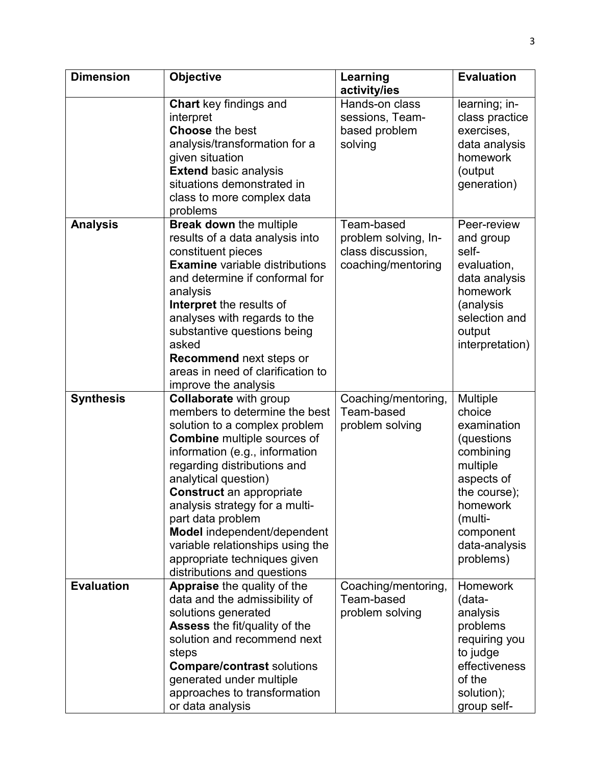| <b>Dimension</b>  | Objective                                                                                                                                                                                                                                                                                                                                                                                                                                                  | Learning                                                                      | <b>Evaluation</b>                                                                                                                                                               |
|-------------------|------------------------------------------------------------------------------------------------------------------------------------------------------------------------------------------------------------------------------------------------------------------------------------------------------------------------------------------------------------------------------------------------------------------------------------------------------------|-------------------------------------------------------------------------------|---------------------------------------------------------------------------------------------------------------------------------------------------------------------------------|
|                   | <b>Chart</b> key findings and<br>interpret<br><b>Choose the best</b><br>analysis/transformation for a<br>given situation<br><b>Extend basic analysis</b><br>situations demonstrated in<br>class to more complex data<br>problems                                                                                                                                                                                                                           | activity/ies<br>Hands-on class<br>sessions, Team-<br>based problem<br>solving | learning; in-<br>class practice<br>exercises,<br>data analysis<br>homework<br>(output<br>generation)                                                                            |
| <b>Analysis</b>   | Break down the multiple<br>results of a data analysis into<br>constituent pieces<br><b>Examine</b> variable distributions<br>and determine if conformal for<br>analysis<br>Interpret the results of<br>analyses with regards to the<br>substantive questions being<br>asked<br><b>Recommend next steps or</b><br>areas in need of clarification to<br>improve the analysis                                                                                 | Team-based<br>problem solving, In-<br>class discussion,<br>coaching/mentoring | Peer-review<br>and group<br>self-<br>evaluation,<br>data analysis<br>homework<br>(analysis<br>selection and<br>output<br>interpretation)                                        |
| <b>Synthesis</b>  | <b>Collaborate with group</b><br>members to determine the best<br>solution to a complex problem<br><b>Combine</b> multiple sources of<br>information (e.g., information<br>regarding distributions and<br>analytical question)<br><b>Construct</b> an appropriate<br>analysis strategy for a multi-<br>part data problem<br>Model independent/dependent<br>variable relationships using the<br>appropriate techniques given<br>distributions and questions | Coaching/mentoring,<br>Team-based<br>problem solving                          | <b>Multiple</b><br>choice<br>examination<br>(questions<br>combining<br>multiple<br>aspects of<br>the course);<br>homework<br>(multi-<br>component<br>data-analysis<br>problems) |
| <b>Evaluation</b> | <b>Appraise</b> the quality of the<br>data and the admissibility of<br>solutions generated<br><b>Assess the fit/quality of the</b><br>solution and recommend next<br>steps<br><b>Compare/contrast solutions</b><br>generated under multiple<br>approaches to transformation<br>or data analysis                                                                                                                                                            | Coaching/mentoring,<br>Team-based<br>problem solving                          | <b>Homework</b><br>(data-<br>analysis<br>problems<br>requiring you<br>to judge<br>effectiveness<br>of the<br>solution);<br>group self-                                          |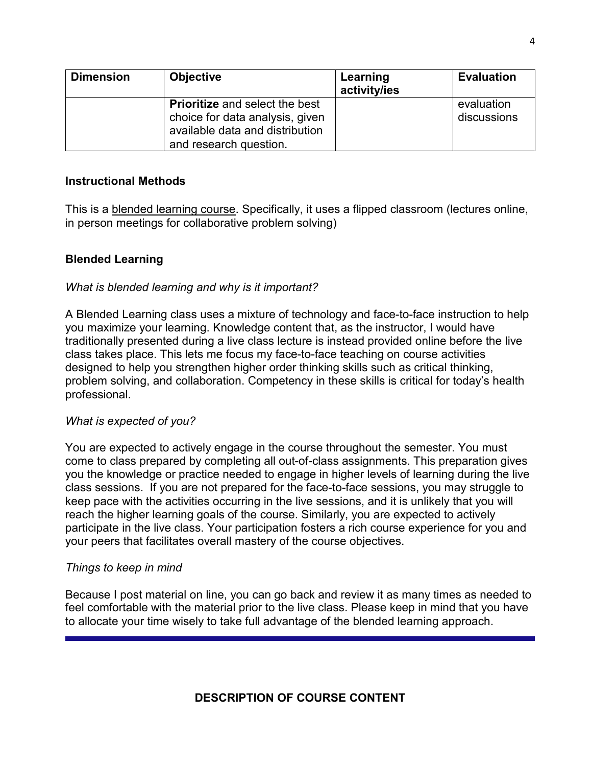| <b>Dimension</b> | <b>Objective</b>                                                                                                                      | Learning<br>activity/ies | <b>Evaluation</b>         |
|------------------|---------------------------------------------------------------------------------------------------------------------------------------|--------------------------|---------------------------|
|                  | <b>Prioritize</b> and select the best<br>choice for data analysis, given<br>available data and distribution<br>and research question. |                          | evaluation<br>discussions |

#### **Instructional Methods**

This is a blended learning course. Specifically, it uses a flipped classroom (lectures online, in person meetings for collaborative problem solving)

# **Blended Learning**

# *What is blended learning and why is it important?*

A Blended Learning class uses a mixture of technology and face-to-face instruction to help you maximize your learning. Knowledge content that, as the instructor, I would have traditionally presented during a live class lecture is instead provided online before the live class takes place. This lets me focus my face-to-face teaching on course activities designed to help you strengthen higher order thinking skills such as critical thinking, problem solving, and collaboration. Competency in these skills is critical for today's health professional.

#### *What is expected of you?*

You are expected to actively engage in the course throughout the semester. You must come to class prepared by completing all out-of-class assignments. This preparation gives you the knowledge or practice needed to engage in higher levels of learning during the live class sessions. If you are not prepared for the face-to-face sessions, you may struggle to keep pace with the activities occurring in the live sessions, and it is unlikely that you will reach the higher learning goals of the course. Similarly, you are expected to actively participate in the live class. Your participation fosters a rich course experience for you and your peers that facilitates overall mastery of the course objectives.

#### *Things to keep in mind*

Because I post material on line, you can go back and review it as many times as needed to feel comfortable with the material prior to the live class. Please keep in mind that you have to allocate your time wisely to take full advantage of the blended learning approach.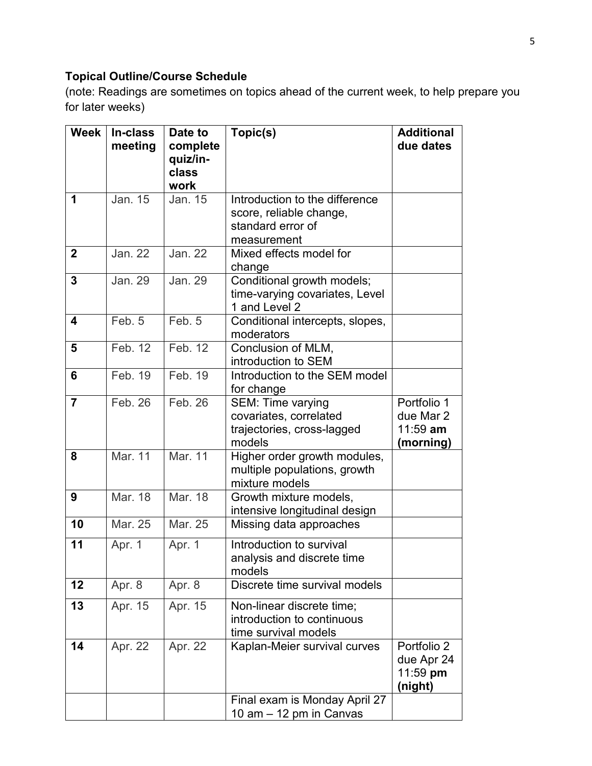# **Topical Outline/Course Schedule**

(note: Readings are sometimes on topics ahead of the current week, to help prepare you for later weeks)

| <b>Week</b>    | In-class<br>meeting | Date to<br>complete<br>quiz/in-<br>class<br>work | Topic(s)                                                                                      | <b>Additional</b><br>due dates                      |
|----------------|---------------------|--------------------------------------------------|-----------------------------------------------------------------------------------------------|-----------------------------------------------------|
| 1              | Jan. 15             | Jan. 15                                          | Introduction to the difference<br>score, reliable change,<br>standard error of<br>measurement |                                                     |
| $\overline{2}$ | <b>Jan. 22</b>      | <b>Jan. 22</b>                                   | Mixed effects model for<br>change                                                             |                                                     |
| 3              | Jan. 29             | Jan. 29                                          | Conditional growth models;<br>time-varying covariates, Level<br>1 and Level 2                 |                                                     |
| 4              | Feb. 5              | Feb. 5                                           | Conditional intercepts, slopes,<br>moderators                                                 |                                                     |
| 5              | Feb. 12             | Feb. 12                                          | Conclusion of MLM,<br>introduction to SEM                                                     |                                                     |
| 6              | Feb. 19             | Feb. 19                                          | Introduction to the SEM model<br>for change                                                   |                                                     |
| $\overline{7}$ | Feb. 26             | Feb. 26                                          | <b>SEM: Time varying</b><br>covariates, correlated<br>trajectories, cross-lagged<br>models    | Portfolio 1<br>due Mar 2<br>$11:59$ am<br>(morning) |
| 8              | Mar. 11             | Mar. 11                                          | Higher order growth modules,<br>multiple populations, growth<br>mixture models                |                                                     |
| 9              | Mar. 18             | Mar. 18                                          | Growth mixture models,<br>intensive longitudinal design                                       |                                                     |
| 10             | Mar. 25             | Mar. 25                                          | Missing data approaches                                                                       |                                                     |
| 11             | Apr. 1              | Apr. 1                                           | Introduction to survival<br>analysis and discrete time<br>models                              |                                                     |
| 12             | Apr. 8              | Apr. 8                                           | Discrete time survival models                                                                 |                                                     |
| 13             | Apr. 15             | Apr. 15                                          | Non-linear discrete time;<br>introduction to continuous<br>time survival models               |                                                     |
| 14             | Apr. 22             | Apr. 22                                          | Kaplan-Meier survival curves                                                                  | Portfolio 2<br>due Apr 24<br>$11:59$ pm<br>(night)  |
|                |                     |                                                  | Final exam is Monday April 27<br>10 am - 12 pm in Canvas                                      |                                                     |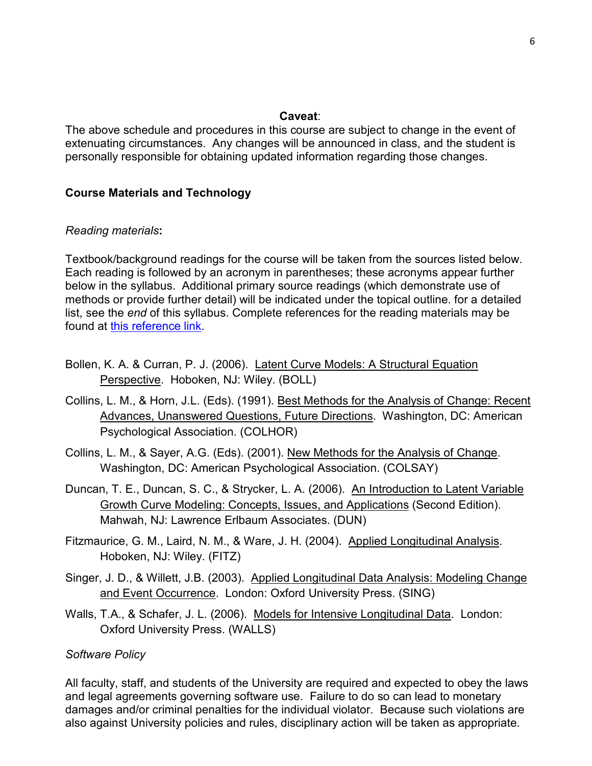#### **Caveat**:

The above schedule and procedures in this course are subject to change in the event of extenuating circumstances. Any changes will be announced in class, and the student is personally responsible for obtaining updated information regarding those changes.

#### **Course Materials and Technology**

#### *Reading materials***:**

Textbook/background readings for the course will be taken from the sources listed below. Each reading is followed by an acronym in parentheses; these acronyms appear further below in the syllabus. Additional primary source readings (which demonstrate use of methods or provide further detail) will be indicated under the topical outline. for a detailed list, see the *end* of this syllabus. Complete references for the reading materials may be found at [this reference link.](http://phhp-marsiske.sites.medinfo.ufl.edu/for-students/classes/references-for-clp-6527652865297525-readings/%20.)

- Bollen, K. A. & Curran, P. J. (2006). Latent Curve Models: A Structural Equation Perspective. Hoboken, NJ: Wiley. (BOLL)
- Collins, L. M., & Horn, J.L. (Eds). (1991). Best Methods for the Analysis of Change: Recent Advances, Unanswered Questions, Future Directions. Washington, DC: American Psychological Association. (COLHOR)
- Collins, L. M., & Sayer, A.G. (Eds). (2001). New Methods for the Analysis of Change. Washington, DC: American Psychological Association. (COLSAY)
- Duncan, T. E., Duncan, S. C., & Strycker, L. A. (2006). An Introduction to Latent Variable Growth Curve Modeling: Concepts, Issues, and Applications (Second Edition). Mahwah, NJ: Lawrence Erlbaum Associates. (DUN)
- Fitzmaurice, G. M., Laird, N. M., & Ware, J. H. (2004). Applied Longitudinal Analysis. Hoboken, NJ: Wiley. (FITZ)
- Singer, J. D., & Willett, J.B. (2003). Applied Longitudinal Data Analysis: Modeling Change and Event Occurrence. London: Oxford University Press. (SING)
- Walls, T.A., & Schafer, J. L. (2006). Models for Intensive Longitudinal Data. London: Oxford University Press. (WALLS)

#### *Software Policy*

All faculty, staff, and students of the University are required and expected to obey the laws and legal agreements governing software use. Failure to do so can lead to monetary damages and/or criminal penalties for the individual violator. Because such violations are also against University policies and rules, disciplinary action will be taken as appropriate.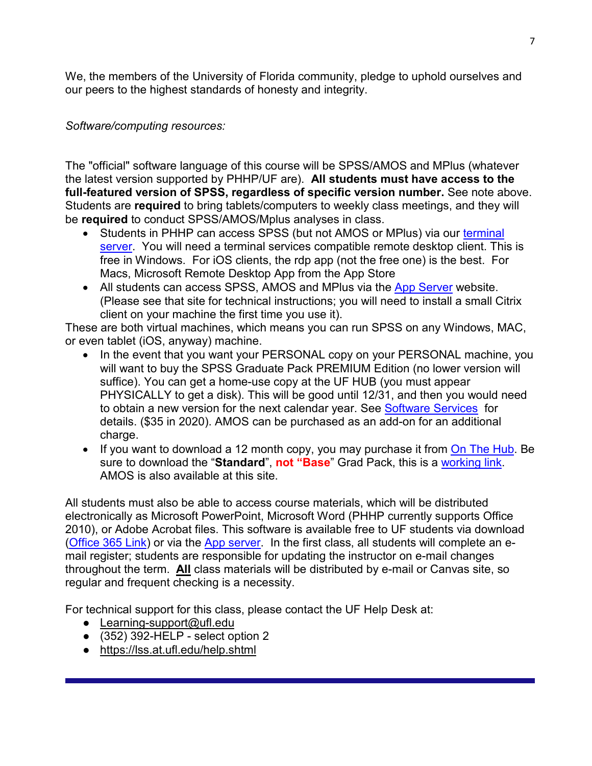We, the members of the University of Florida community, pledge to uphold ourselves and our peers to the highest standards of honesty and integrity.

*Software/computing resources:*

The "official" software language of this course will be SPSS/AMOS and MPlus (whatever the latest version supported by PHHP/UF are). **All students must have access to the full-featured version of SPSS, regardless of specific version number.** See note above. Students are **required** to bring tablets/computers to weekly class meetings, and they will be **required** to conduct SPSS/AMOS/Mplus analyses in class.

- Students in PHHP can access SPSS (but not AMOS or MPlus) via our [terminal](file://file.phhp.ufl.edu/home/marsiske/data/User/Classes/change_14/home/ts.phhp.ufl.edu)  [server.](file://file.phhp.ufl.edu/home/marsiske/data/User/Classes/change_14/home/ts.phhp.ufl.edu) You will need a terminal services compatible remote desktop client. This is free in Windows. For iOS clients, the rdp app (not the free one) is the best. For Macs, Microsoft Remote Desktop App from the App Store
- All students can access SPSS, AMOS and MPlus via the [App Server](http://info.apps.ufl.edu/) website. (Please see that site for technical instructions; you will need to install a small Citrix client on your machine the first time you use it).

These are both virtual machines, which means you can run SPSS on any Windows, MAC, or even tablet (iOS, anyway) machine.

- In the event that you want your PERSONAL copy on your PERSONAL machine, you will want to buy the SPSS Graduate Pack PREMIUM Edition (no lower version will suffice). You can get a home-use copy at the UF HUB (you must appear PHYSICALLY to get a disk). This will be good until 12/31, and then you would need to obtain a new version for the next calendar year. See [Software Services](http://helpdesk.ufl.edu/software-services/spss/) for details. (\$35 in 2020). AMOS can be purchased as an add-on for an additional charge.
- If you want to download a 12 month copy, you may purchase it from [On The Hub.](http://onthehub.com/) Be sure to download the "**Standard**", **not "Base**" Grad Pack, this is a [working link.](https://estore.onthehub.com/WebStore/OfferingsOfMajorVersionList.aspx?pmv=12c7bd0a-436e-e511-9411-b8ca3a5db7a1&cmi_mnuMain=2ff73789-74c7-e011-ae14-f04da23e67f6&cmi_mnuMain_child=2a1143f0-74c7-e011-ae14-f04da23e67f6&utm_source=SPSSstatistics-productpage-statistics&utm_medium=onthehub-productpage&utm_campaign=SPSS) AMOS is also available at this site.

All students must also be able to access course materials, which will be distributed electronically as Microsoft PowerPoint, Microsoft Word (PHHP currently supports Office 2010), or Adobe Acrobat files. This software is available free to UF students via download [\(Office 365 Link\)](http://www.it.ufl.edu/2015/01/free-office-365-downloads-available-to-faculty-and-staff/) or via the [App server.](http://apps.ufl.edu/) In the first class, all students will complete an email register; students are responsible for updating the instructor on e-mail changes throughout the term. **All** class materials will be distributed by e-mail or Canvas site, so regular and frequent checking is a necessity.

For technical support for this class, please contact the UF Help Desk at:

- Learning-support@ufl.edu
- $\bullet$  (352) 392-HELP select option 2
- <https://lss.at.ufl.edu/help.shtml>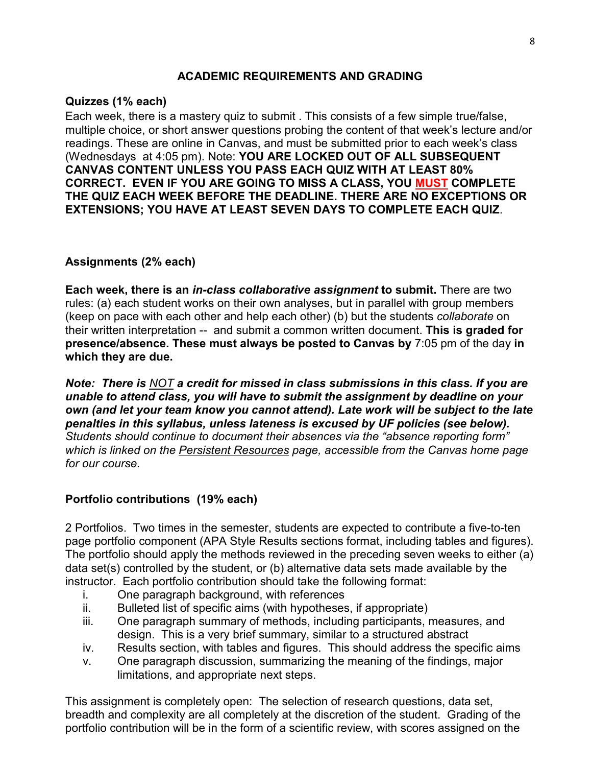# **ACADEMIC REQUIREMENTS AND GRADING**

# **Quizzes (1% each)**

Each week, there is a mastery quiz to submit . This consists of a few simple true/false, multiple choice, or short answer questions probing the content of that week's lecture and/or readings. These are online in Canvas, and must be submitted prior to each week's class (Wednesdays at 4:05 pm). Note: **YOU ARE LOCKED OUT OF ALL SUBSEQUENT CANVAS CONTENT UNLESS YOU PASS EACH QUIZ WITH AT LEAST 80% CORRECT. EVEN IF YOU ARE GOING TO MISS A CLASS, YOU MUST COMPLETE THE QUIZ EACH WEEK BEFORE THE DEADLINE. THERE ARE NO EXCEPTIONS OR EXTENSIONS; YOU HAVE AT LEAST SEVEN DAYS TO COMPLETE EACH QUIZ**.

# **Assignments (2% each)**

**Each week, there is an** *in-class collaborative assignment* **to submit.** There are two rules: (a) each student works on their own analyses, but in parallel with group members (keep on pace with each other and help each other) (b) but the students *collaborate* on their written interpretation -- and submit a common written document. **This is graded for presence/absence. These must always be posted to Canvas by** 7:05 pm of the day **in which they are due.** 

*Note: There is NOT a credit for missed in class submissions in this class. If you are unable to attend class, you will have to submit the assignment by deadline on your own (and let your team know you cannot attend). Late work will be subject to the late penalties in this syllabus, unless lateness is excused by UF policies (see below). Students should continue to document their absences via the "absence reporting form" which is linked on the Persistent Resources page, accessible from the Canvas home page for our course.* 

# **Portfolio contributions (19% each)**

2 Portfolios. Two times in the semester, students are expected to contribute a five-to-ten page portfolio component (APA Style Results sections format, including tables and figures). The portfolio should apply the methods reviewed in the preceding seven weeks to either (a) data set(s) controlled by the student, or (b) alternative data sets made available by the instructor. Each portfolio contribution should take the following format:

- i. One paragraph background, with references
- ii. Bulleted list of specific aims (with hypotheses, if appropriate)
- iii. One paragraph summary of methods, including participants, measures, and design. This is a very brief summary, similar to a structured abstract
- iv. Results section, with tables and figures. This should address the specific aims
- v. One paragraph discussion, summarizing the meaning of the findings, major limitations, and appropriate next steps.

This assignment is completely open: The selection of research questions, data set, breadth and complexity are all completely at the discretion of the student. Grading of the portfolio contribution will be in the form of a scientific review, with scores assigned on the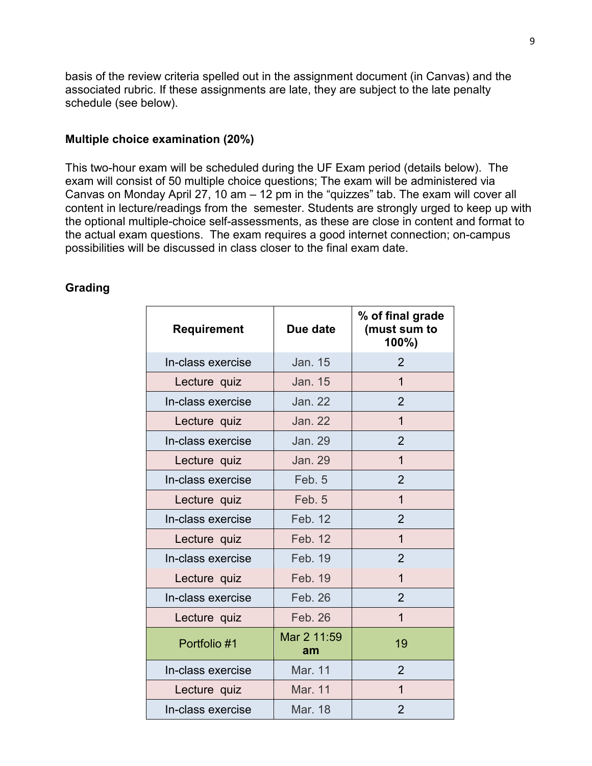basis of the review criteria spelled out in the assignment document (in Canvas) and the associated rubric. If these assignments are late, they are subject to the late penalty schedule (see below).

#### **Multiple choice examination (20%)**

This two-hour exam will be scheduled during the UF Exam period (details below). The exam will consist of 50 multiple choice questions; The exam will be administered via Canvas on Monday April 27, 10 am  $-$  12 pm in the "quizzes" tab. The exam will cover all content in lecture/readings from the semester. Students are strongly urged to keep up with the optional multiple-choice self-assessments, as these are close in content and format to the actual exam questions. The exam requires a good internet connection; on-campus possibilities will be discussed in class closer to the final exam date.

# **Grading**

| Requirement       | Due date          | % of final grade<br>(must sum to<br>100%) |
|-------------------|-------------------|-------------------------------------------|
| In-class exercise | Jan. 15           | $\overline{2}$                            |
| Lecture quiz      | <b>Jan. 15</b>    | $\overline{1}$                            |
| In-class exercise | <b>Jan. 22</b>    | $\overline{2}$                            |
| Lecture quiz      | <b>Jan. 22</b>    | 1                                         |
| In-class exercise | <b>Jan. 29</b>    | $\overline{2}$                            |
| Lecture quiz      | <b>Jan. 29</b>    | $\mathbf{1}$                              |
| In-class exercise | Feb. 5            | $\overline{2}$                            |
| Lecture quiz      | Feb. 5            | 1                                         |
| In-class exercise | Feb. 12           | $\overline{2}$                            |
| Lecture quiz      | Feb. 12           | $\mathbf{1}$                              |
| In-class exercise | Feb. 19           | $\overline{2}$                            |
| Lecture quiz      | Feb. 19           | $\mathbf 1$                               |
| In-class exercise | Feb. 26           | $\overline{2}$                            |
| Lecture quiz      | Feb. 26           | 1                                         |
| Portfolio #1      | Mar 2 11:59<br>am | 19                                        |
| In-class exercise | Mar. 11           | $\overline{2}$                            |
| Lecture quiz      | Mar. 11           | $\overline{1}$                            |
| In-class exercise | Mar. 18           | $\overline{2}$                            |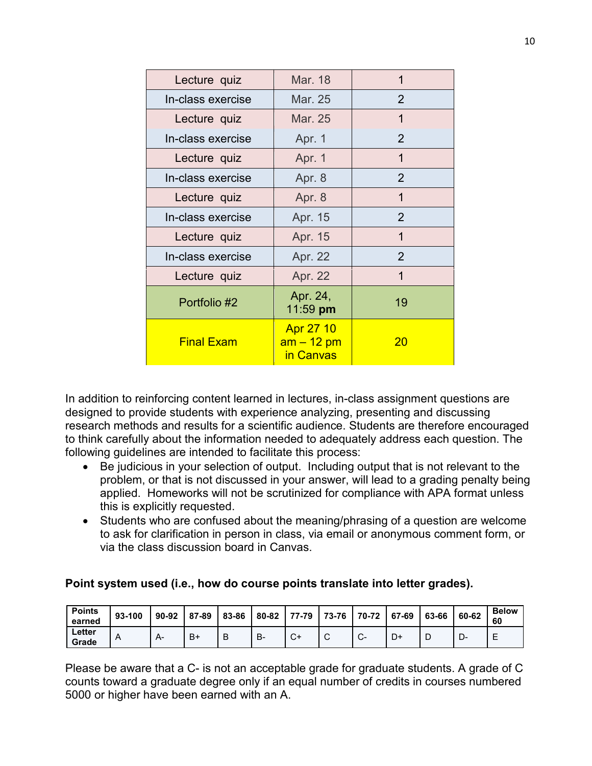| Lecture quiz      | Mar. 18                                            | 1  |
|-------------------|----------------------------------------------------|----|
| In-class exercise | Mar. 25                                            | 2  |
| Lecture quiz      | Mar. 25                                            | 1  |
| In-class exercise | Apr. 1                                             | 2  |
| Lecture quiz      | Apr. 1                                             | 1  |
| In-class exercise | Apr. 8                                             | 2  |
| Lecture quiz      | Apr. 8                                             | 1  |
| In-class exercise | Apr. 15                                            | 2  |
| Lecture quiz      | Apr. 15                                            | 1  |
| In-class exercise | Apr. 22                                            | 2  |
| Lecture quiz      | Apr. 22                                            | 1  |
| Portfolio #2      | Apr. 24,<br>11:59 pm                               | 19 |
| <b>Final Exam</b> | <b>Apr 27 10</b><br><u>am – 12 pm</u><br>in Canvas | 20 |

In addition to reinforcing content learned in lectures, in-class assignment questions are designed to provide students with experience analyzing, presenting and discussing research methods and results for a scientific audience. Students are therefore encouraged to think carefully about the information needed to adequately address each question. The following guidelines are intended to facilitate this process:

- Be judicious in your selection of output. Including output that is not relevant to the problem, or that is not discussed in your answer, will lead to a grading penalty being applied. Homeworks will not be scrutinized for compliance with APA format unless this is explicitly requested.
- Students who are confused about the meaning/phrasing of a question are welcome to ask for clarification in person in class, via email or anonymous comment form, or via the class discussion board in Canvas.

# **Point system used (i.e., how do course points translate into letter grades).**

| <b>Points</b><br>earned | 93-100 | $90 - 92$ | 87-89 | 83-86 | 80-82 | 77-79         | 73-76           | 70-72   | 67-69 | 63-66 | 60-62 | <b>Below</b><br>60 |
|-------------------------|--------|-----------|-------|-------|-------|---------------|-----------------|---------|-------|-------|-------|--------------------|
| Letter<br>Grade         | Α      | A         | B+    | B     | в-    | $\sim$<br>ັ∿⊤ | $\sqrt{2}$<br>ັ | ╭<br>J. | D+    |       | −∪    | -<br>⊢<br>−        |

Please be aware that a C- is not an acceptable grade for graduate students. A grade of C counts toward a graduate degree only if an equal number of credits in courses numbered 5000 or higher have been earned with an A.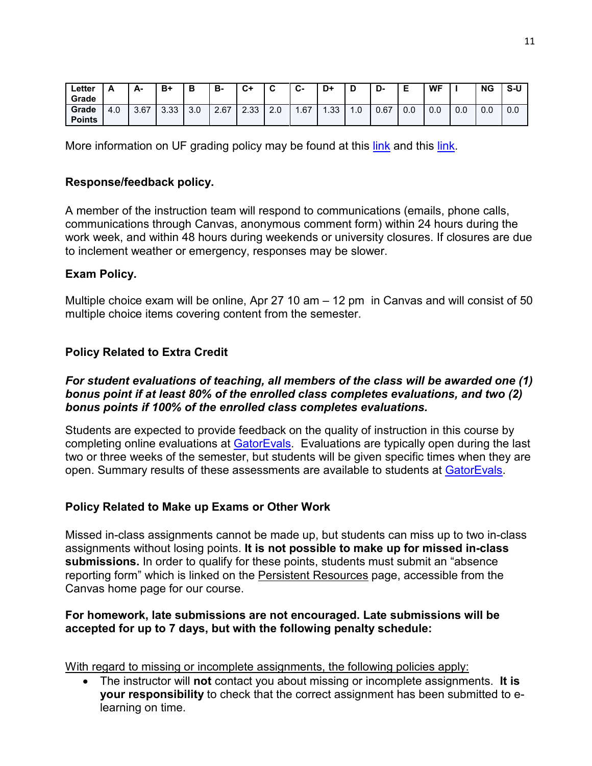| ∟etter<br>Grade        | $\overline{\phantom{a}}$ | А-   | B+          | в   | в-   | C +<br>~    |     | ⌒<br>v- | D+  | n             | D<br>-ט |     | <b>WF</b> |     | <b>NG</b> | S-U |
|------------------------|--------------------------|------|-------------|-----|------|-------------|-----|---------|-----|---------------|---------|-----|-----------|-----|-----------|-----|
| Grade<br><b>Points</b> | 4.0                      | 3.67 | ່າາ<br>ა.აა | 3.0 | 2.67 | ົາລ<br>دد.ے | 2.0 | .67     | .33 | $\sim$<br>. U | 0.67    | 0.0 | 0.0       | 0.0 | 0.0       | 0.0 |

More information on UF grading policy may be found at this [link](http://gradcatalog.ufl.edu/content.php?catoid=10&navoid=2020#grades) and this [link.](https://catalog.ufl.edu/ugrad/current/regulations/info/grades.aspx)

# **Response/feedback policy.**

A member of the instruction team will respond to communications (emails, phone calls, communications through Canvas, anonymous comment form) within 24 hours during the work week, and within 48 hours during weekends or university closures. If closures are due to inclement weather or emergency, responses may be slower.

# **Exam Policy.**

Multiple choice exam will be online, Apr 27 10 am – 12 pm in Canvas and will consist of 50 multiple choice items covering content from the semester.

# **Policy Related to Extra Credit**

# *For student evaluations of teaching, all members of the class will be awarded one (1) bonus point if at least 80% of the enrolled class completes evaluations, and two (2) bonus points if 100% of the enrolled class completes evaluations.*

Students are expected to provide feedback on the quality of instruction in this course by completing online evaluations at **GatorEvals**. Evaluations are typically open during the last two or three weeks of the semester, but students will be given specific times when they are open. Summary results of these assessments are available to students at [GatorEvals.](https://gatorevals.aa.ufl.edu/public-results/)

# **Policy Related to Make up Exams or Other Work**

Missed in-class assignments cannot be made up, but students can miss up to two in-class assignments without losing points. **It is not possible to make up for missed in-class submissions.** In order to qualify for these points, students must submit an "absence reporting form" which is linked on the Persistent Resources page, accessible from the Canvas home page for our course.

# **For homework, late submissions are not encouraged. Late submissions will be accepted for up to 7 days, but with the following penalty schedule:**

With regard to missing or incomplete assignments, the following policies apply:

• The instructor will **not** contact you about missing or incomplete assignments. **It is your responsibility** to check that the correct assignment has been submitted to elearning on time.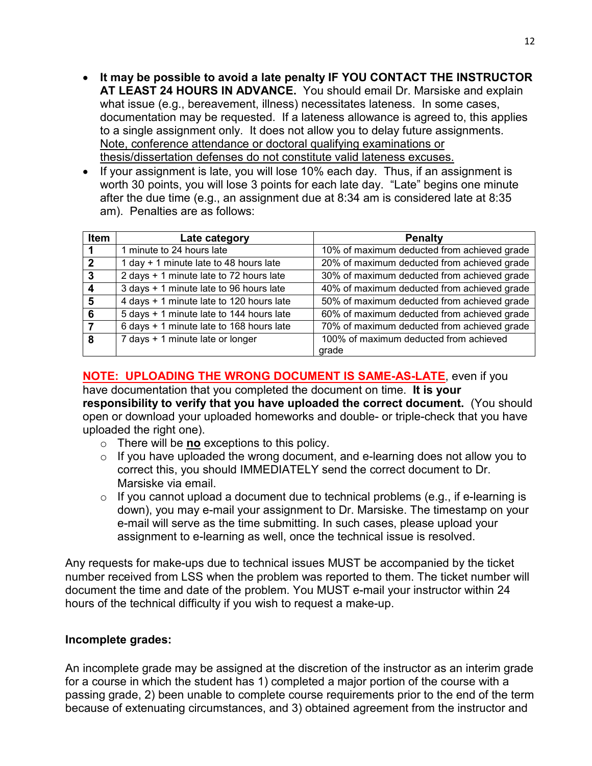- **It may be possible to avoid a late penalty IF YOU CONTACT THE INSTRUCTOR AT LEAST 24 HOURS IN ADVANCE.** You should email Dr. Marsiske and explain what issue (e.g., bereavement, illness) necessitates lateness. In some cases, documentation may be requested. If a lateness allowance is agreed to, this applies to a single assignment only. It does not allow you to delay future assignments. Note, conference attendance or doctoral qualifying examinations or thesis/dissertation defenses do not constitute valid lateness excuses.
- If your assignment is late, you will lose 10% each day. Thus, if an assignment is worth 30 points, you will lose 3 points for each late day. "Late" begins one minute after the due time (e.g., an assignment due at 8:34 am is considered late at 8:35 am). Penalties are as follows:

| <b>Item</b>  | Late category                                         | <b>Penalty</b>                              |
|--------------|-------------------------------------------------------|---------------------------------------------|
| 1            | 1 minute to 24 hours late                             | 10% of maximum deducted from achieved grade |
| $\mathbf{2}$ | 1 day + 1 minute late to 48 hours late                | 20% of maximum deducted from achieved grade |
| 3            | 2 days + 1 minute late to 72 hours late               | 30% of maximum deducted from achieved grade |
| Δ            | 3 days + 1 minute late to 96 hours late               | 40% of maximum deducted from achieved grade |
| 5            | $\overline{4}$ days + 1 minute late to 120 hours late | 50% of maximum deducted from achieved grade |
| 6            | 5 days + 1 minute late to 144 hours late              | 60% of maximum deducted from achieved grade |
|              | 6 days + 1 minute late to 168 hours late              | 70% of maximum deducted from achieved grade |
| 8            | 7 days + 1 minute late or longer                      | 100% of maximum deducted from achieved      |
|              |                                                       | grade                                       |

**NOTE: UPLOADING THE WRONG DOCUMENT IS SAME-AS-LATE**, even if you have documentation that you completed the document on time. **It is your responsibility to verify that you have uploaded the correct document.** (You should open or download your uploaded homeworks and double- or triple-check that you have uploaded the right one).

- o There will be **no** exceptions to this policy.
- $\circ$  If you have uploaded the wrong document, and e-learning does not allow you to correct this, you should IMMEDIATELY send the correct document to Dr. Marsiske via email.
- $\circ$  If you cannot upload a document due to technical problems (e.g., if e-learning is down), you may e-mail your assignment to Dr. Marsiske. The timestamp on your e-mail will serve as the time submitting. In such cases, please upload your assignment to e-learning as well, once the technical issue is resolved.

Any requests for make-ups due to technical issues MUST be accompanied by the ticket number received from LSS when the problem was reported to them. The ticket number will document the time and date of the problem. You MUST e-mail your instructor within 24 hours of the technical difficulty if you wish to request a make-up.

# **Incomplete grades:**

An incomplete grade may be assigned at the discretion of the instructor as an interim grade for a course in which the student has 1) completed a major portion of the course with a passing grade, 2) been unable to complete course requirements prior to the end of the term because of extenuating circumstances, and 3) obtained agreement from the instructor and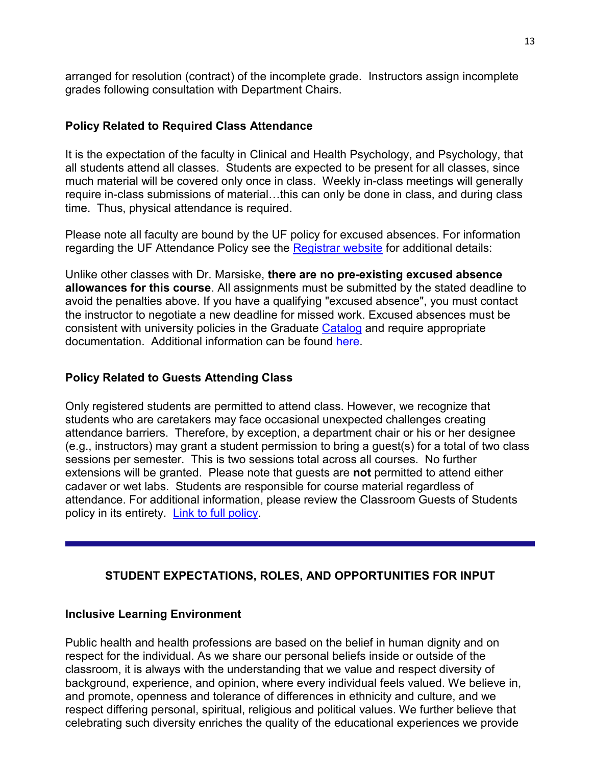arranged for resolution (contract) of the incomplete grade. Instructors assign incomplete grades following consultation with Department Chairs.

# **Policy Related to Required Class Attendance**

It is the expectation of the faculty in Clinical and Health Psychology, and Psychology, that all students attend all classes. Students are expected to be present for all classes, since much material will be covered only once in class. Weekly in-class meetings will generally require in-class submissions of material…this can only be done in class, and during class time. Thus, physical attendance is required.

Please note all faculty are bound by the UF policy for excused absences. For information regarding the UF Attendance Policy see the [Registrar website](http://www.registrar.ufl.edu/catalogarchive/01-02-catalog/academic_regulations/academic_regulations_013_.htm) for additional details:

Unlike other classes with Dr. Marsiske, **there are no pre-existing excused absence allowances for this course**. All assignments must be submitted by the stated deadline to avoid the penalties above. If you have a qualifying "excused absence", you must contact the instructor to negotiate a new deadline for missed work. Excused absences must be consistent with university policies in the Graduate [Catalog](http://gradcatalog.ufl.edu/content.php?catoid=10&navoid=2020#attendance) and require appropriate documentation. Additional information can be found [here.](https://catalog.ufl.edu/ugrad/current/regulations/info/attendance.aspx)

# **Policy Related to Guests Attending Class**

Only registered students are permitted to attend class. However, we recognize that students who are caretakers may face occasional unexpected challenges creating attendance barriers. Therefore, by exception, a department chair or his or her designee (e.g., instructors) may grant a student permission to bring a guest(s) for a total of two class sessions per semester. This is two sessions total across all courses. No further extensions will be granted. Please note that guests are **not** permitted to attend either cadaver or wet labs. Students are responsible for course material regardless of attendance. For additional information, please review the Classroom Guests of Students policy in its entirety. [Link to full policy.](http://facstaff.phhp.ufl.edu/services/resourceguide/getstarted.htm)

# **STUDENT EXPECTATIONS, ROLES, AND OPPORTUNITIES FOR INPUT**

# **Inclusive Learning Environment**

Public health and health professions are based on the belief in human dignity and on respect for the individual. As we share our personal beliefs inside or outside of the classroom, it is always with the understanding that we value and respect diversity of background, experience, and opinion, where every individual feels valued. We believe in, and promote, openness and tolerance of differences in ethnicity and culture, and we respect differing personal, spiritual, religious and political values. We further believe that celebrating such diversity enriches the quality of the educational experiences we provide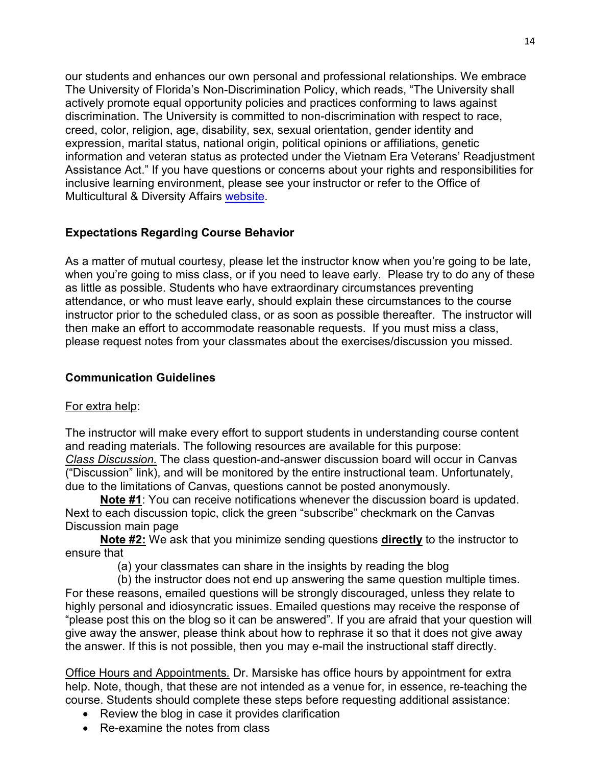our students and enhances our own personal and professional relationships. We embrace The University of Florida's Non-Discrimination Policy, which reads, "The University shall actively promote equal opportunity policies and practices conforming to laws against discrimination. The University is committed to non-discrimination with respect to race, creed, color, religion, age, disability, sex, sexual orientation, gender identity and expression, marital status, national origin, political opinions or affiliations, genetic information and veteran status as protected under the Vietnam Era Veterans' Readjustment Assistance Act." If you have questions or concerns about your rights and responsibilities for inclusive learning environment, please see your instructor or refer to the Office of Multicultural & Diversity Affairs [website.](http://www.multicultural.ufl.edu/)

# **Expectations Regarding Course Behavior**

As a matter of mutual courtesy, please let the instructor know when you're going to be late, when you're going to miss class, or if you need to leave early. Please try to do any of these as little as possible. Students who have extraordinary circumstances preventing attendance, or who must leave early, should explain these circumstances to the course instructor prior to the scheduled class, or as soon as possible thereafter. The instructor will then make an effort to accommodate reasonable requests. If you must miss a class, please request notes from your classmates about the exercises/discussion you missed.

# **Communication Guidelines**

# For extra help:

The instructor will make every effort to support students in understanding course content and reading materials. The following resources are available for this purpose: *Class Discussion.* The class question-and-answer discussion board will occur in Canvas ("Discussion" link), and will be monitored by the entire instructional team. Unfortunately, due to the limitations of Canvas, questions cannot be posted anonymously.

**Note #1**: You can receive notifications whenever the discussion board is updated. Next to each discussion topic, click the green "subscribe" checkmark on the Canvas Discussion main page

**Note #2:** We ask that you minimize sending questions **directly** to the instructor to ensure that

(a) your classmates can share in the insights by reading the blog

(b) the instructor does not end up answering the same question multiple times. For these reasons, emailed questions will be strongly discouraged, unless they relate to highly personal and idiosyncratic issues. Emailed questions may receive the response of "please post this on the blog so it can be answered". If you are afraid that your question will give away the answer, please think about how to rephrase it so that it does not give away the answer. If this is not possible, then you may e-mail the instructional staff directly.

Office Hours and Appointments*.* Dr. Marsiske has office hours by appointment for extra help. Note, though, that these are not intended as a venue for, in essence, re-teaching the course. Students should complete these steps before requesting additional assistance:

- Review the blog in case it provides clarification
- Re-examine the notes from class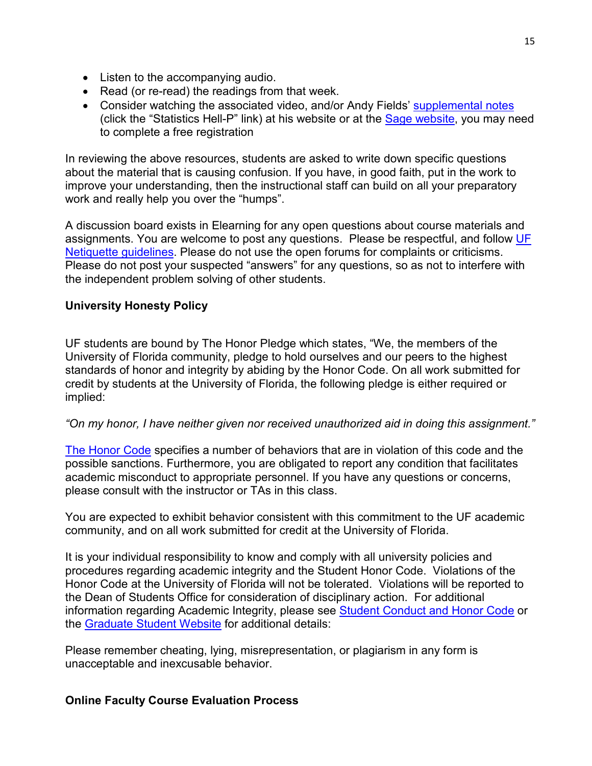- Listen to the accompanying audio.
- Read (or re-read) the readings from that week.
- Consider watching the associated video, and/or Andy Fields' [supplemental notes](http://www.statisticshell.com/apf.html) (click the "Statistics Hell-P" link) at his website or at the [Sage website,](http://www.sagepub.com/field4e/main.htm) you may need to complete a free registration

In reviewing the above resources, students are asked to write down specific questions about the material that is causing confusion. If you have, in good faith, put in the work to improve your understanding, then the instructional staff can build on all your preparatory work and really help you over the "humps".

A discussion board exists in Elearning for any open questions about course materials and assignments. You are welcome to post any questions. Please be respectful, and follow UF [Netiquette guidelines.](http://teach.ufl.edu/wp-content/uploads/2012/08/NetiquetteGuideforOnlineCourses.pdf) Please do not use the open forums for complaints or criticisms. Please do not post your suspected "answers" for any questions, so as not to interfere with the independent problem solving of other students.

# **University Honesty Policy**

UF students are bound by The Honor Pledge which states, "We, the members of the University of Florida community, pledge to hold ourselves and our peers to the highest standards of honor and integrity by abiding by the Honor Code. On all work submitted for credit by students at the University of Florida, the following pledge is either required or implied:

# *"On my honor, I have neither given nor received unauthorized aid in doing this assignment."*

[The Honor Code](https://www.dso.ufl.edu/sccr/process/student-conduct-honor-code/) specifies a number of behaviors that are in violation of this code and the possible sanctions. Furthermore, you are obligated to report any condition that facilitates academic misconduct to appropriate personnel. If you have any questions or concerns, please consult with the instructor or TAs in this class.

You are expected to exhibit behavior consistent with this commitment to the UF academic community, and on all work submitted for credit at the University of Florida.

It is your individual responsibility to know and comply with all university policies and procedures regarding academic integrity and the Student Honor Code. Violations of the Honor Code at the University of Florida will not be tolerated. Violations will be reported to the Dean of Students Office for consideration of disciplinary action. For additional information regarding Academic Integrity, please see Student [Conduct](https://www.dso.ufl.edu/sccr/process/student-conduct-honor-code/) and Honor Code or the [Graduate](http://gradschool.ufl.edu/students/introduction.html) Student Website for additional details:

Please remember cheating, lying, misrepresentation, or plagiarism in any form is unacceptable and inexcusable behavior.

# **Online Faculty Course Evaluation Process**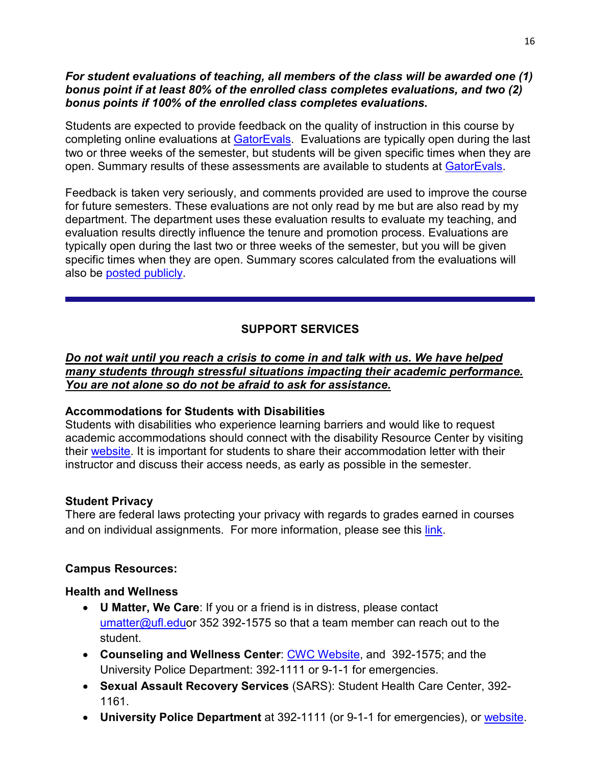# *For student evaluations of teaching, all members of the class will be awarded one (1) bonus point if at least 80% of the enrolled class completes evaluations, and two (2) bonus points if 100% of the enrolled class completes evaluations.*

Students are expected to provide feedback on the quality of instruction in this course by completing online evaluations at [GatorEvals.](https://gatorevals.aa.ufl.edu/) Evaluations are typically open during the last two or three weeks of the semester, but students will be given specific times when they are open. Summary results of these assessments are available to students at [GatorEvals.](https://gatorevals.aa.ufl.edu/)

Feedback is taken very seriously, and comments provided are used to improve the course for future semesters. These evaluations are not only read by me but are also read by my department. The department uses these evaluation results to evaluate my teaching, and evaluation results directly influence the tenure and promotion process. Evaluations are typically open during the last two or three weeks of the semester, but you will be given specific times when they are open. Summary scores calculated from the evaluations will also be posted [publicly.](https://gatorevals.aa.ufl.edu/public-results/)

# **SUPPORT SERVICES**

# *Do not wait until you reach a crisis to come in and talk with us. We have helped many students through stressful situations impacting their academic performance. You are not alone so do not be afraid to ask for assistance.*

# **Accommodations for Students with Disabilities**

Students with disabilities who experience learning barriers and would like to request academic accommodations should connect with the disability Resource Center by visiting their [website.](https://disability.ufl.edu/students/get-started/) It is important for students to share their accommodation letter with their instructor and discuss their access needs, as early as possible in the semester.

# **Student Privacy**

There are federal laws protecting your privacy with regards to grades earned in courses and on individual assignments. For more information, please see this [link.](http://registrar.ufl.edu/catalog0910/policies/regulationferpa.html)

# **Campus Resources:**

# **Health and Wellness**

- **U Matter, We Care**: If you or a friend is in distress, please contact [umatter@ufl.eduo](mailto:umatter@ufl.edu)r 352 392-1575 so that a team member can reach out to the student.
- **Counseling and Wellness Center**: [CWC Website,](http://www.counseling.ufl.edu/cwc) and 392-1575; and the University Police Department: 392-1111 or 9-1-1 for emergencies.
- **Sexual Assault Recovery Services** (SARS): Student Health Care Center, 392- 1161.
- **University Police Department** at 392-1111 (or 9-1-1 for emergencies), or [website.](http://www.police.ufl.edu/)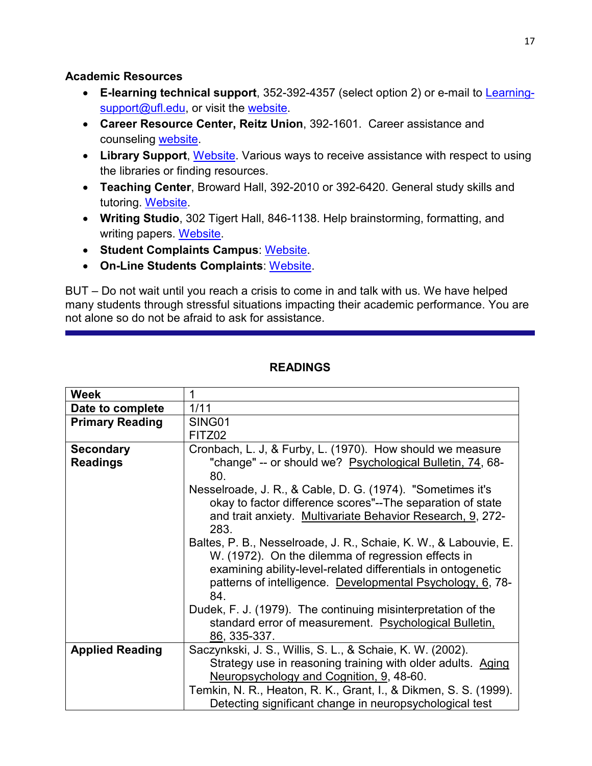# **Academic Resources**

- **E-learning technical support**, 352-392-4357 (select option 2) or e-mail to [Learning](mailto:Learning-support@ufl.edu)[support@ufl.edu,](mailto:Learning-support@ufl.edu) or visit the [website.](https://lss.at.ufl.edu/help.shtml)
- **Career Resource Center, Reitz Union**, 392-1601. Career assistance and counseling [website.](https://www.crc.ufl.edu/)
- Library Support, [Website.](http://cms.uflib.ufl.edu/ask) Various ways to receive assistance with respect to using the libraries or finding resources.
- **Teaching Center**, Broward Hall, 392-2010 or 392-6420. General study skills and tutoring. [Website.](https://teachingcenter.ufl.edu/)
- **Writing Studio**, 302 Tigert Hall, 846-1138. Help brainstorming, formatting, and writing papers. [Website.](https://writing.ufl.edu/writing-studio/)
- **Student Complaints Campus**: [Website.](https://www.dso.ufl.edu/documents/UF_Complaints_policy.pdf)
- **On-Line Students Complaints**: [Website.](http://www.distance.ufl.edu/student-complaint-process)

BUT – Do not wait until you reach a crisis to come in and talk with us. We have helped many students through stressful situations impacting their academic performance. You are not alone so do not be afraid to ask for assistance.

| <b>Week</b>            | 1                                                                |
|------------------------|------------------------------------------------------------------|
| Date to complete       | 1/11                                                             |
| <b>Primary Reading</b> | SING01                                                           |
|                        | FITZ02                                                           |
| <b>Secondary</b>       | Cronbach, L. J, & Furby, L. (1970). How should we measure        |
| <b>Readings</b>        | "change" -- or should we? Psychological Bulletin, 74, 68-        |
|                        | 80.                                                              |
|                        | Nesselroade, J. R., & Cable, D. G. (1974). "Sometimes it's       |
|                        | okay to factor difference scores"--The separation of state       |
|                        | and trait anxiety. Multivariate Behavior Research, 9, 272-       |
|                        | 283.                                                             |
|                        | Baltes, P. B., Nesselroade, J. R., Schaie, K. W., & Labouvie, E. |
|                        | W. (1972). On the dilemma of regression effects in               |
|                        | examining ability-level-related differentials in ontogenetic     |
|                        | patterns of intelligence. Developmental Psychology, 6, 78-       |
|                        | 84.                                                              |
|                        | Dudek, F. J. (1979). The continuing misinterpretation of the     |
|                        | standard error of measurement. Psychological Bulletin,           |
|                        | 86, 335-337.                                                     |
| <b>Applied Reading</b> | Saczynkski, J. S., Willis, S. L., & Schaie, K. W. (2002).        |
|                        | Strategy use in reasoning training with older adults. Aging      |
|                        | Neuropsychology and Cognition, 9, 48-60.                         |
|                        | Temkin, N. R., Heaton, R. K., Grant, I., & Dikmen, S. S. (1999). |
|                        | Detecting significant change in neuropsychological test          |

# **READINGS**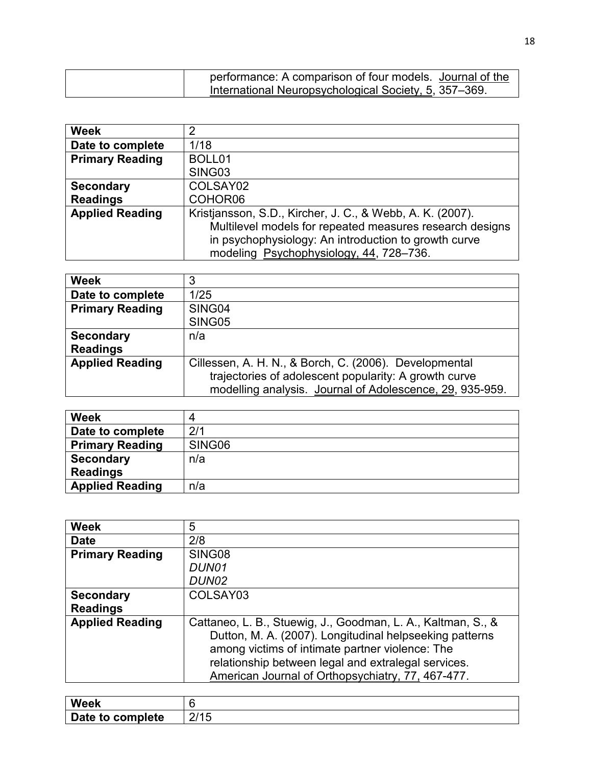| performance: A comparison of four models. Journal of the |  |
|----------------------------------------------------------|--|
| International Neuropsychological Society, 5, 357–369.    |  |

| <b>Week</b>            | າ                                                         |
|------------------------|-----------------------------------------------------------|
| Date to complete       | 1/18                                                      |
| <b>Primary Reading</b> | BOLL01                                                    |
|                        | SING03                                                    |
| <b>Secondary</b>       | COLSAY02                                                  |
| <b>Readings</b>        | COHOR06                                                   |
| <b>Applied Reading</b> | Kristjansson, S.D., Kircher, J. C., & Webb, A. K. (2007). |
|                        | Multilevel models for repeated measures research designs  |
|                        | in psychophysiology: An introduction to growth curve      |
|                        | modeling Psychophysiology, 44, 728-736.                   |

| <b>Week</b>            | 3                                                        |
|------------------------|----------------------------------------------------------|
| Date to complete       | 1/25                                                     |
| <b>Primary Reading</b> | SING04                                                   |
|                        | SING05                                                   |
| <b>Secondary</b>       | n/a                                                      |
| <b>Readings</b>        |                                                          |
| <b>Applied Reading</b> | Cillessen, A. H. N., & Borch, C. (2006). Developmental   |
|                        | trajectories of adolescent popularity: A growth curve    |
|                        | modelling analysis. Journal of Adolescence, 29, 935-959. |

| <b>Week</b>            |        |
|------------------------|--------|
| Date to complete       | 2/1    |
| <b>Primary Reading</b> | SING06 |
| <b>Secondary</b>       | n/a    |
| <b>Readings</b>        |        |
| <b>Applied Reading</b> | n/a    |

| <b>Week</b>            | 5                                                                                                          |
|------------------------|------------------------------------------------------------------------------------------------------------|
| <b>Date</b>            | 2/8                                                                                                        |
| <b>Primary Reading</b> | SING08                                                                                                     |
|                        | DUN01                                                                                                      |
|                        | DUN02                                                                                                      |
| <b>Secondary</b>       | COLSAY03                                                                                                   |
| <b>Readings</b>        |                                                                                                            |
| <b>Applied Reading</b> | Cattaneo, L. B., Stuewig, J., Goodman, L. A., Kaltman, S., &                                               |
|                        | Dutton, M. A. (2007). Longitudinal helpseeking patterns<br>among victims of intimate partner violence: The |
|                        | relationship between legal and extralegal services.                                                        |
|                        | American Journal of Orthopsychiatry, 77, 467-477.                                                          |

| Week             |           |
|------------------|-----------|
| Date to complete | 011F<br>⊌ |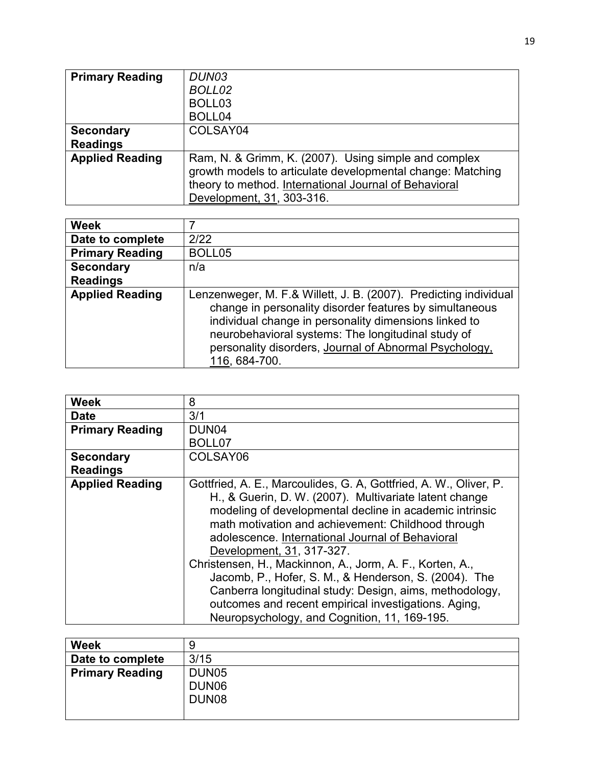| <b>Primary Reading</b> | DUN03                                                      |
|------------------------|------------------------------------------------------------|
|                        | BOLL02                                                     |
|                        | BOLL <sub>03</sub>                                         |
|                        | BOLL04                                                     |
| <b>Secondary</b>       | COLSAY04                                                   |
| <b>Readings</b>        |                                                            |
| <b>Applied Reading</b> | Ram, N. & Grimm, K. (2007). Using simple and complex       |
|                        | growth models to articulate developmental change: Matching |
|                        | theory to method. International Journal of Behavioral      |
|                        | Development, 31, 303-316.                                  |

| <b>Week</b>            |                                                                                                                                                                                                                                                                                                                       |
|------------------------|-----------------------------------------------------------------------------------------------------------------------------------------------------------------------------------------------------------------------------------------------------------------------------------------------------------------------|
| Date to complete       | 2/22                                                                                                                                                                                                                                                                                                                  |
| <b>Primary Reading</b> | BOLL05                                                                                                                                                                                                                                                                                                                |
| <b>Secondary</b>       | n/a                                                                                                                                                                                                                                                                                                                   |
| <b>Readings</b>        |                                                                                                                                                                                                                                                                                                                       |
| <b>Applied Reading</b> | Lenzenweger, M. F.& Willett, J. B. (2007). Predicting individual<br>change in personality disorder features by simultaneous<br>individual change in personality dimensions linked to<br>neurobehavioral systems: The longitudinal study of<br>personality disorders, Journal of Abnormal Psychology,<br>116, 684-700. |

| <b>Week</b>            | 8                                                                                                                                                                                                                                                                                                                                                                                                                                                                                                                                                                                                                     |
|------------------------|-----------------------------------------------------------------------------------------------------------------------------------------------------------------------------------------------------------------------------------------------------------------------------------------------------------------------------------------------------------------------------------------------------------------------------------------------------------------------------------------------------------------------------------------------------------------------------------------------------------------------|
| <b>Date</b>            | 3/1                                                                                                                                                                                                                                                                                                                                                                                                                                                                                                                                                                                                                   |
| <b>Primary Reading</b> | DUN <sub>04</sub>                                                                                                                                                                                                                                                                                                                                                                                                                                                                                                                                                                                                     |
|                        | BOLL07                                                                                                                                                                                                                                                                                                                                                                                                                                                                                                                                                                                                                |
| <b>Secondary</b>       | COLSAY06                                                                                                                                                                                                                                                                                                                                                                                                                                                                                                                                                                                                              |
| <b>Readings</b>        |                                                                                                                                                                                                                                                                                                                                                                                                                                                                                                                                                                                                                       |
| <b>Applied Reading</b> | Gottfried, A. E., Marcoulides, G. A. Gottfried, A. W., Oliver, P.<br>H., & Guerin, D. W. (2007). Multivariate latent change<br>modeling of developmental decline in academic intrinsic<br>math motivation and achievement: Childhood through<br>adolescence. International Journal of Behavioral<br>Development, 31, 317-327.<br>Christensen, H., Mackinnon, A., Jorm, A. F., Korten, A.,<br>Jacomb, P., Hofer, S. M., & Henderson, S. (2004). The<br>Canberra longitudinal study: Design, aims, methodology,<br>outcomes and recent empirical investigations. Aging,<br>Neuropsychology, and Cognition, 11, 169-195. |

| <b>Week</b>            | 9                 |
|------------------------|-------------------|
| Date to complete       | 3/15              |
| <b>Primary Reading</b> | DUN <sub>05</sub> |
|                        | DUN <sub>06</sub> |
|                        | DUN <sub>08</sub> |
|                        |                   |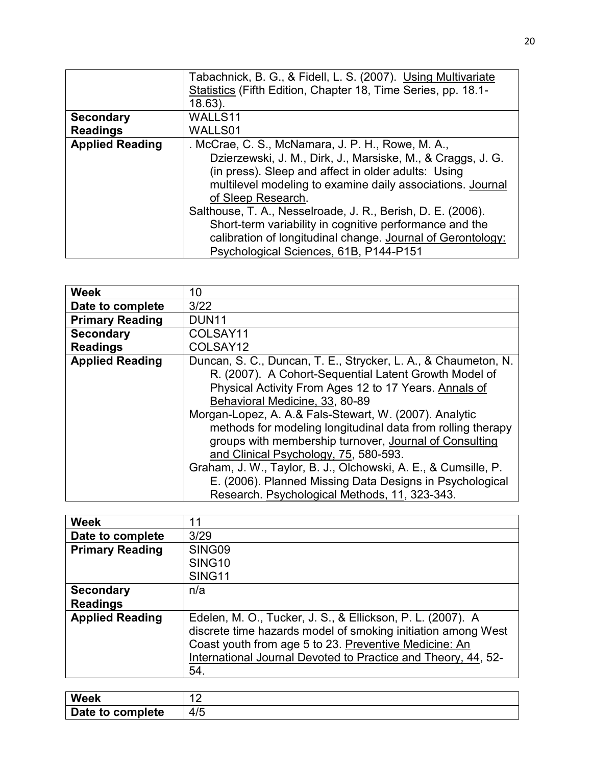|                        | Tabachnick, B. G., & Fidell, L. S. (2007). Using Multivariate |
|------------------------|---------------------------------------------------------------|
|                        | Statistics (Fifth Edition, Chapter 18, Time Series, pp. 18.1- |
|                        | $18.63$ ).                                                    |
| <b>Secondary</b>       | WALLS11                                                       |
| <b>Readings</b>        | WALLS01                                                       |
| <b>Applied Reading</b> | . McCrae, C. S., McNamara, J. P. H., Rowe, M. A.,             |
|                        | Dzierzewski, J. M., Dirk, J., Marsiske, M., & Craggs, J. G.   |
|                        | (in press). Sleep and affect in older adults: Using           |
|                        | multilevel modeling to examine daily associations. Journal    |
|                        | of Sleep Research.                                            |
|                        | Salthouse, T. A., Nesselroade, J. R., Berish, D. E. (2006).   |
|                        | Short-term variability in cognitive performance and the       |
|                        | calibration of longitudinal change. Journal of Gerontology:   |
|                        | Psychological Sciences, 61B, P144-P151                        |

| <b>Week</b>            | 10                                                             |
|------------------------|----------------------------------------------------------------|
| Date to complete       | 3/22                                                           |
| <b>Primary Reading</b> | <b>DUN11</b>                                                   |
| <b>Secondary</b>       | COLSAY11                                                       |
| <b>Readings</b>        | COLSAY12                                                       |
| <b>Applied Reading</b> | Duncan, S. C., Duncan, T. E., Strycker, L. A., & Chaumeton, N. |
|                        | R. (2007). A Cohort-Sequential Latent Growth Model of          |
|                        | Physical Activity From Ages 12 to 17 Years. Annals of          |
|                        | Behavioral Medicine, 33, 80-89                                 |
|                        | Morgan-Lopez, A. A.& Fals-Stewart, W. (2007). Analytic         |
|                        | methods for modeling longitudinal data from rolling therapy    |
|                        | groups with membership turnover, Journal of Consulting         |
|                        | and Clinical Psychology, 75, 580-593.                          |
|                        | Graham, J. W., Taylor, B. J., Olchowski, A. E., & Cumsille, P. |
|                        | E. (2006). Planned Missing Data Designs in Psychological       |
|                        | Research. Psychological Methods, 11, 323-343.                  |

| <b>Week</b>            | 11                                                            |
|------------------------|---------------------------------------------------------------|
| Date to complete       | 3/29                                                          |
| <b>Primary Reading</b> | SING09                                                        |
|                        | SING <sub>10</sub>                                            |
|                        | <b>SING11</b>                                                 |
| <b>Secondary</b>       | n/a                                                           |
| <b>Readings</b>        |                                                               |
| <b>Applied Reading</b> | Edelen, M. O., Tucker, J. S., & Ellickson, P. L. (2007). A    |
|                        | discrete time hazards model of smoking initiation among West  |
|                        | Coast youth from age 5 to 23. Preventive Medicine: An         |
|                        | International Journal Devoted to Practice and Theory, 44, 52- |
|                        | 54.                                                           |

| <b>Week</b>      | -<br>$\overline{\phantom{a}}$ |
|------------------|-------------------------------|
| Date to complete | 4/5                           |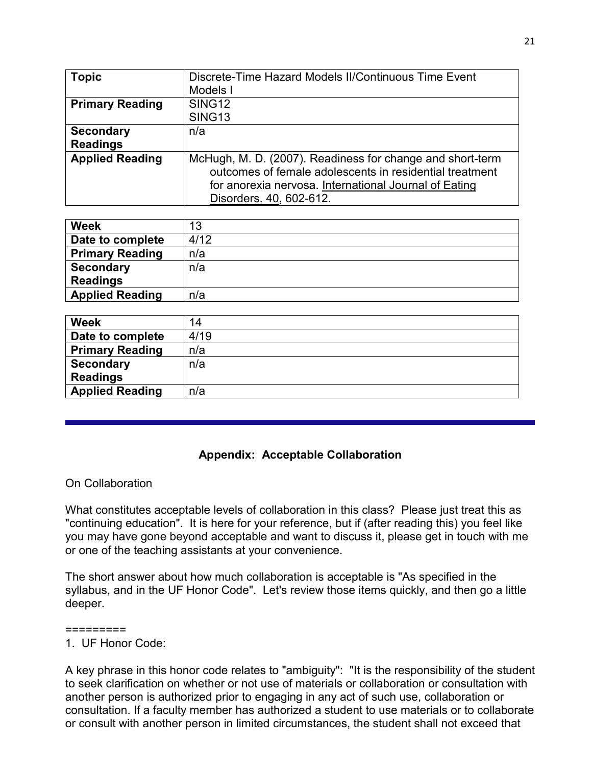| <b>Topic</b>           | Discrete-Time Hazard Models II/Continuous Time Event                                                                 |
|------------------------|----------------------------------------------------------------------------------------------------------------------|
|                        | Models I                                                                                                             |
| <b>Primary Reading</b> | SING <sub>12</sub>                                                                                                   |
|                        | SING <sub>13</sub>                                                                                                   |
| <b>Secondary</b>       | n/a                                                                                                                  |
| <b>Readings</b>        |                                                                                                                      |
| <b>Applied Reading</b> | McHugh, M. D. (2007). Readiness for change and short-term<br>outcomes of female adolescents in residential treatment |
|                        | for anorexia nervosa. International Journal of Eating                                                                |
|                        | Disorders. 40, 602-612.                                                                                              |

| <b>Week</b>            | 13   |
|------------------------|------|
| Date to complete       | 4/12 |
| <b>Primary Reading</b> | n/a  |
| <b>Secondary</b>       | n/a  |
| <b>Readings</b>        |      |
| <b>Applied Reading</b> | n/a  |

| <b>Week</b>            | 14   |
|------------------------|------|
| Date to complete       | 4/19 |
| <b>Primary Reading</b> | n/a  |
| <b>Secondary</b>       | n/a  |
| <b>Readings</b>        |      |
| <b>Applied Reading</b> | n/a  |

# **Appendix: Acceptable Collaboration**

# On Collaboration

What constitutes acceptable levels of collaboration in this class? Please just treat this as "continuing education". It is here for your reference, but if (after reading this) you feel like you may have gone beyond acceptable and want to discuss it, please get in touch with me or one of the teaching assistants at your convenience.

The short answer about how much collaboration is acceptable is "As specified in the syllabus, and in the UF Honor Code". Let's review those items quickly, and then go a little deeper.

#### =========

# 1. UF Honor Code:

A key phrase in this honor code relates to "ambiguity": "It is the responsibility of the student to seek clarification on whether or not use of materials or collaboration or consultation with another person is authorized prior to engaging in any act of such use, collaboration or consultation. If a faculty member has authorized a student to use materials or to collaborate or consult with another person in limited circumstances, the student shall not exceed that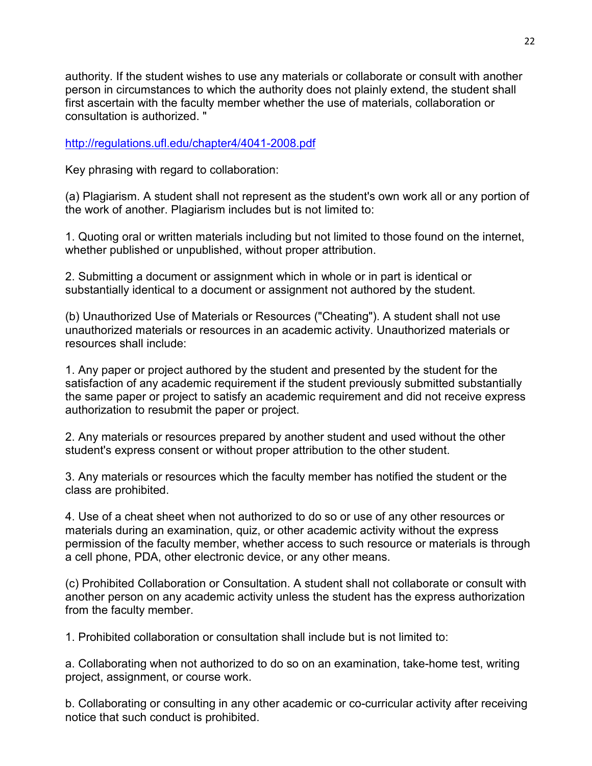authority. If the student wishes to use any materials or collaborate or consult with another person in circumstances to which the authority does not plainly extend, the student shall first ascertain with the faculty member whether the use of materials, collaboration or consultation is authorized. "

# <http://regulations.ufl.edu/chapter4/4041-2008.pdf>

Key phrasing with regard to collaboration:

(a) Plagiarism. A student shall not represent as the student's own work all or any portion of the work of another. Plagiarism includes but is not limited to:

1. Quoting oral or written materials including but not limited to those found on the internet, whether published or unpublished, without proper attribution.

2. Submitting a document or assignment which in whole or in part is identical or substantially identical to a document or assignment not authored by the student.

(b) Unauthorized Use of Materials or Resources ("Cheating"). A student shall not use unauthorized materials or resources in an academic activity. Unauthorized materials or resources shall include:

1. Any paper or project authored by the student and presented by the student for the satisfaction of any academic requirement if the student previously submitted substantially the same paper or project to satisfy an academic requirement and did not receive express authorization to resubmit the paper or project.

2. Any materials or resources prepared by another student and used without the other student's express consent or without proper attribution to the other student.

3. Any materials or resources which the faculty member has notified the student or the class are prohibited.

4. Use of a cheat sheet when not authorized to do so or use of any other resources or materials during an examination, quiz, or other academic activity without the express permission of the faculty member, whether access to such resource or materials is through a cell phone, PDA, other electronic device, or any other means.

(c) Prohibited Collaboration or Consultation. A student shall not collaborate or consult with another person on any academic activity unless the student has the express authorization from the faculty member.

1. Prohibited collaboration or consultation shall include but is not limited to:

a. Collaborating when not authorized to do so on an examination, take-home test, writing project, assignment, or course work.

b. Collaborating or consulting in any other academic or co-curricular activity after receiving notice that such conduct is prohibited.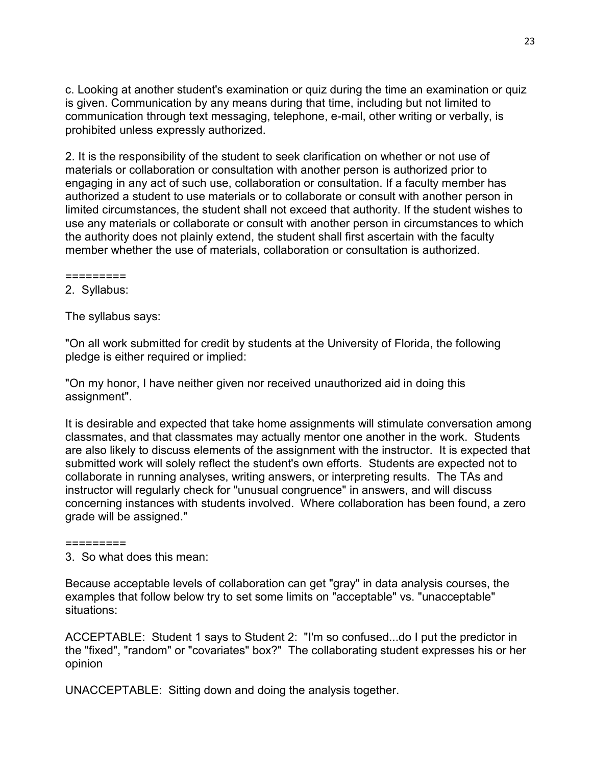c. Looking at another student's examination or quiz during the time an examination or quiz is given. Communication by any means during that time, including but not limited to communication through text messaging, telephone, e-mail, other writing or verbally, is prohibited unless expressly authorized.

2. It is the responsibility of the student to seek clarification on whether or not use of materials or collaboration or consultation with another person is authorized prior to engaging in any act of such use, collaboration or consultation. If a faculty member has authorized a student to use materials or to collaborate or consult with another person in limited circumstances, the student shall not exceed that authority. If the student wishes to use any materials or collaborate or consult with another person in circumstances to which the authority does not plainly extend, the student shall first ascertain with the faculty member whether the use of materials, collaboration or consultation is authorized.

=========

2. Syllabus:

The syllabus says:

"On all work submitted for credit by students at the University of Florida, the following pledge is either required or implied:

"On my honor, I have neither given nor received unauthorized aid in doing this assignment".

It is desirable and expected that take home assignments will stimulate conversation among classmates, and that classmates may actually mentor one another in the work. Students are also likely to discuss elements of the assignment with the instructor. It is expected that submitted work will solely reflect the student's own efforts. Students are expected not to collaborate in running analyses, writing answers, or interpreting results. The TAs and instructor will regularly check for "unusual congruence" in answers, and will discuss concerning instances with students involved. Where collaboration has been found, a zero grade will be assigned."

=========

3. So what does this mean:

Because acceptable levels of collaboration can get "gray" in data analysis courses, the examples that follow below try to set some limits on "acceptable" vs. "unacceptable" situations:

ACCEPTABLE: Student 1 says to Student 2: "I'm so confused...do I put the predictor in the "fixed", "random" or "covariates" box?" The collaborating student expresses his or her opinion

UNACCEPTABLE: Sitting down and doing the analysis together.